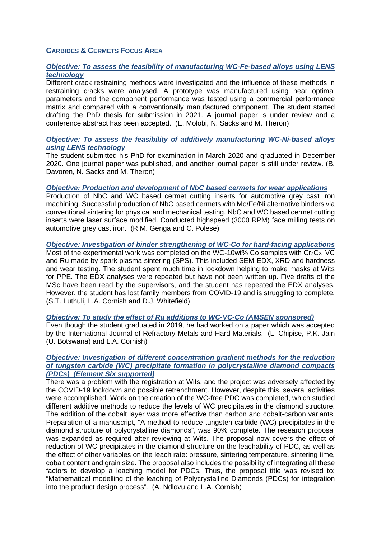# **CARBIDES & CERMETS FOCUS AREA**

# *Objective: To assess the feasibility of manufacturing WC-Fe-based alloys using LENS technology*

Different crack restraining methods were investigated and the influence of these methods in restraining cracks were analysed. A prototype was manufactured using near optimal parameters and the component performance was tested using a commercial performance matrix and compared with a conventionally manufactured component. The student started drafting the PhD thesis for submission in 2021. A journal paper is under review and a conference abstract has been accepted. (E. Molobi, N. Sacks and M. Theron)

## *Objective: To assess the feasibility of additively manufacturing WC-Ni-based alloys using LENS technology*

The student submitted his PhD for examination in March 2020 and graduated in December 2020. One journal paper was published, and another journal paper is still under review. (B. Davoren, N. Sacks and M. Theron)

#### *Objective: Production and development of NbC based cermets for wear applications*

Production of NbC and WC based cermet cutting inserts for automotive grey cast iron machining. Successful production of NbC based cermets with Mo/Fe/Ni alternative binders via conventional sintering for physical and mechanical testing. NbC and WC based cermet cutting inserts were laser surface modified. Conducted highspeed (3000 RPM) face milling tests on automotive grey cast iron. (R.M. Genga and C. Polese)

*Objective: Investigation of binder strengthening of WC-Co for hard-facing applications* Most of the experimental work was completed on the WC-10wt% Co samples with  $Cr_3C_2$ , VC and Ru made by spark plasma sintering (SPS). This included SEM-EDX, XRD and hardness and wear testing. The student spent much time in lockdown helping to make masks at Wits for PPE. The EDX analyses were repeated but have not been written up. Five drafts of the MSc have been read by the supervisors, and the student has repeated the EDX analyses. However, the student has lost family members from COVID-19 and is struggling to complete. (S.T. Luthuli, L.A. Cornish and D.J. Whitefield)

#### *Objective: To study the effect of Ru additions to WC-VC-Co (AMSEN sponsored)*

Even though the student graduated in 2019, he had worked on a paper which was accepted by the International Journal of Refractory Metals and Hard Materials. (L. Chipise, P.K. Jain (U. Botswana) and L.A. Cornish)

#### *Objective: Investigation of different concentration gradient methods for the reduction of tungsten carbide (WC) precipitate formation in polycrystalline diamond compacts (PDCs) (Element Six supported)*

There was a problem with the registration at Wits, and the project was adversely affected by the COVID-19 lockdown and possible retrenchment. However, despite this, several activities were accomplished. Work on the creation of the WC-free PDC was completed, which studied different additive methods to reduce the levels of WC precipitates in the diamond structure. The addition of the cobalt layer was more effective than carbon and cobalt-carbon variants. Preparation of a manuscript, "A method to reduce tungsten carbide (WC) precipitates in the diamond structure of polycrystalline diamonds", was 90% complete. The research proposal was expanded as required after reviewing at Wits. The proposal now covers the effect of reduction of WC precipitates in the diamond structure on the leachability of PDC, as well as the effect of other variables on the leach rate: pressure, sintering temperature, sintering time, cobalt content and grain size. The proposal also includes the possibility of integrating all these factors to develop a leaching model for PDCs. Thus, the proposal title was revised to: "Mathematical modelling of the leaching of Polycrystalline Diamonds (PDCs) for integration into the product design process". (A. Ndlovu and L.A. Cornish)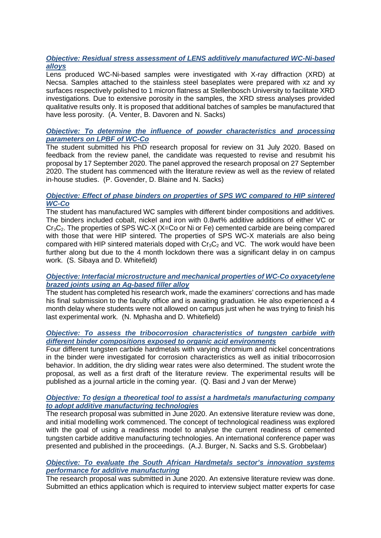# *Objective: Residual stress assessment of LENS additively manufactured WC-Ni-based alloys*

Lens produced WC-Ni-based samples were investigated with X-ray diffraction (XRD) at Necsa. Samples attached to the stainless steel baseplates were prepared with xz and xy surfaces respectively polished to 1 micron flatness at Stellenbosch University to facilitate XRD investigations. Due to extensive porosity in the samples, the XRD stress analyses provided qualitative results only. It is proposed that additional batches of samples be manufactured that have less porosity. (A. Venter, B. Davoren and N. Sacks)

# *Objective: To determine the influence of powder characteristics and processing parameters on LPBF of WC-Co*

The student submitted his PhD research proposal for review on 31 July 2020. Based on feedback from the review panel, the candidate was requested to revise and resubmit his proposal by 17 September 2020. The panel approved the research proposal on 27 September 2020. The student has commenced with the literature review as well as the review of related in-house studies. (P. Govender, D. Blaine and N. Sacks)

# *Objective: Effect of phase binders on properties of SPS WC compared to HIP sintered WC-Co*

The student has manufactured WC samples with different binder compositions and additives. The binders included cobalt, nickel and iron with 0.8wt% additive additions of either VC or  $Cr_3C_2$ . The properties of SPS WC-X (X=Co or Ni or Fe) cemented carbide are being compared with those that were HIP sintered. The properties of SPS WC-X materials are also being compared with HIP sintered materials doped with  $Cr_3C_2$  and VC. The work would have been further along but due to the 4 month lockdown there was a significant delay in on campus work. (S. Sibaya and D. Whitefield)

# *Objective: Interfacial microstructure and mechanical properties of WC-Co oxyacetylene brazed joints using an Ag-based filler alloy*

The student has completed his research work, made the examiners' corrections and has made his final submission to the faculty office and is awaiting graduation. He also experienced a 4 month delay where students were not allowed on campus just when he was trying to finish his last experimental work. (N. Mphasha and D. Whitefield)

## *Objective: To assess the tribocorrosion characteristics of tungsten carbide with different binder compositions exposed to organic acid environments*

Four different tungsten carbide hardmetals with varying chromium and nickel concentrations in the binder were investigated for corrosion characteristics as well as initial tribocorrosion behavior. In addition, the dry sliding wear rates were also determined. The student wrote the proposal, as well as a first draft of the literature review. The experimental results will be published as a journal article in the coming year. (Q. Basi and J van der Merwe)

## *Objective: To design a theoretical tool to assist a hardmetals manufacturing company to adopt additive manufacturing technologies*

The research proposal was submitted in June 2020. An extensive literature review was done, and initial modelling work commenced. The concept of technological readiness was explored with the goal of using a readiness model to analyse the current readiness of cemented tungsten carbide additive manufacturing technologies. An international conference paper was presented and published in the proceedings. (A.J. Burger, N. Sacks and S.S. Grobbelaar)

## *Objective: To evaluate the South African Hardmetals sector's innovation systems performance for additive manufacturing*

The research proposal was submitted in June 2020. An extensive literature review was done. Submitted an ethics application which is required to interview subject matter experts for case